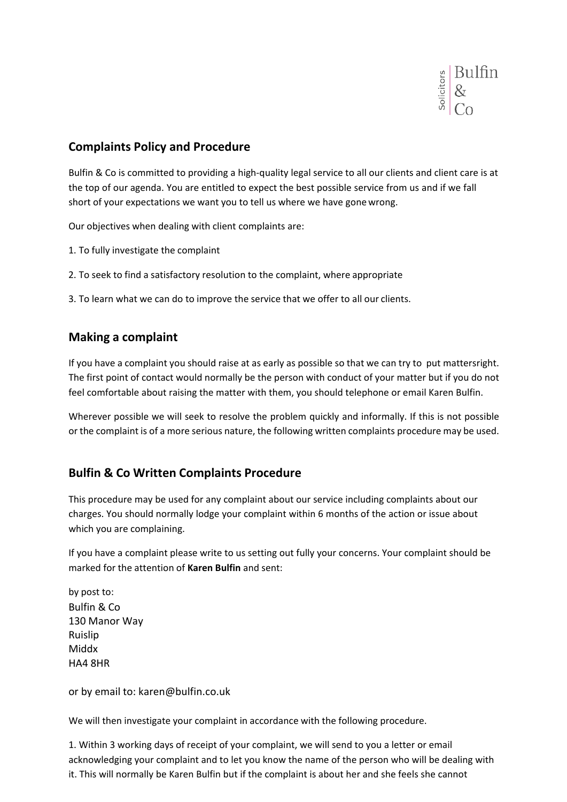

## **Complaints Policy and Procedure**

Bulfin & Co is committed to providing a high‐quality legal service to all our clients and client care is at the top of our agenda. You are entitled to expect the best possible service from us and if we fall short of your expectations we want you to tell us where we have gone wrong.

Our objectives when dealing with client complaints are:

- 1. To fully investigate the complaint
- 2. To seek to find a satisfactory resolution to the complaint, where appropriate

3. To learn what we can do to improve the service that we offer to all our clients.

### **Making a complaint**

If you have a complaint you should raise at as early as possible so that we can try to put mattersright. The first point of contact would normally be the person with conduct of your matter but if you do not feel comfortable about raising the matter with them, you should telephone or email Karen Bulfin.

Wherever possible we will seek to resolve the problem quickly and informally. If this is not possible or the complaint is of a more serious nature, the following written complaints procedure may be used.

### **Bulfin & Co Written Complaints Procedure**

This procedure may be used for any complaint about our service including complaints about our charges. You should normally lodge your complaint within 6 months of the action or issue about which you are complaining.

If you have a complaint please write to us setting out fully your concerns. Your complaint should be marked for the attention of **Karen Bulfin** and sent:

by post to: Bulfin & Co 130 Manor Way Ruislip Middx HA4 8HR

or by email to: karen@bulfin.co.uk

We will then investigate your complaint in accordance with the following procedure.

1. Within 3 working days of receipt of your complaint, we will send to you a letter or email acknowledging your complaint and to let you know the name of the person who will be dealing with it. This will normally be Karen Bulfin but if the complaint is about her and she feels she cannot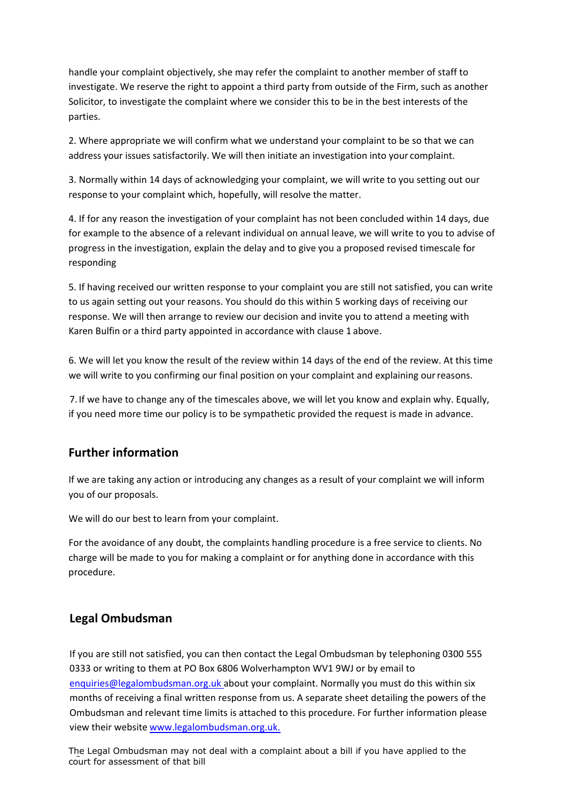handle your complaint objectively, she may refer the complaint to another member of staff to investigate. We reserve the right to appoint a third party from outside of the Firm, such as another Solicitor, to investigate the complaint where we consider this to be in the best interests of the parties.

2. Where appropriate we will confirm what we understand your complaint to be so that we can address your issues satisfactorily. We will then initiate an investigation into your complaint.

3. Normally within 14 days of acknowledging your complaint, we will write to you setting out our response to your complaint which, hopefully, will resolve the matter.

4. If for any reason the investigation of your complaint has not been concluded within 14 days, due for example to the absence of a relevant individual on annual leave, we will write to you to advise of progress in the investigation, explain the delay and to give you a proposed revised timescale for responding

5. If having received our written response to your complaint you are still not satisfied, you can write to us again setting out your reasons. You should do this within 5 working days of receiving our response. We will then arrange to review our decision and invite you to attend a meeting with Karen Bulfin or a third party appointed in accordance with clause 1 above.

6. We will let you know the result of the review within 14 days of the end of the review. At this time we will write to you confirming our final position on your complaint and explaining ourreasons.

7. If we have to change any of the timescales above, we will let you know and explain why. Equally, if you need more time our policy is to be sympathetic provided the request is made in advance.

### **Further information**

If we are taking any action or introducing any changes as a result of your complaint we will inform you of our proposals.

We will do our best to learn from your complaint.

For the avoidance of any doubt, the complaints handling procedure is a free service to clients. No charge will be made to you for making a complaint or for anything done in accordance with this procedure.

### **Legal Ombudsman**

If you are still not satisfied, you can then contact the Legal Ombudsman by telephoning 0300 555 0333 or writing to them at PO Box 6806 Wolverhampton WV1 9WJ or by email to enquiries@legalombudsman.org.uk about your complaint. Normally you must do this within six months of receiving a final written response from us. A separate sheet detailing the powers of the Ombudsman and relevant time limits is attached to this procedure. For further information please view their website www.legalombudsman.org.uk.

The Legal Ombudsman may not deal with a complaint about a bill if you have applied to the court for assessment of that bill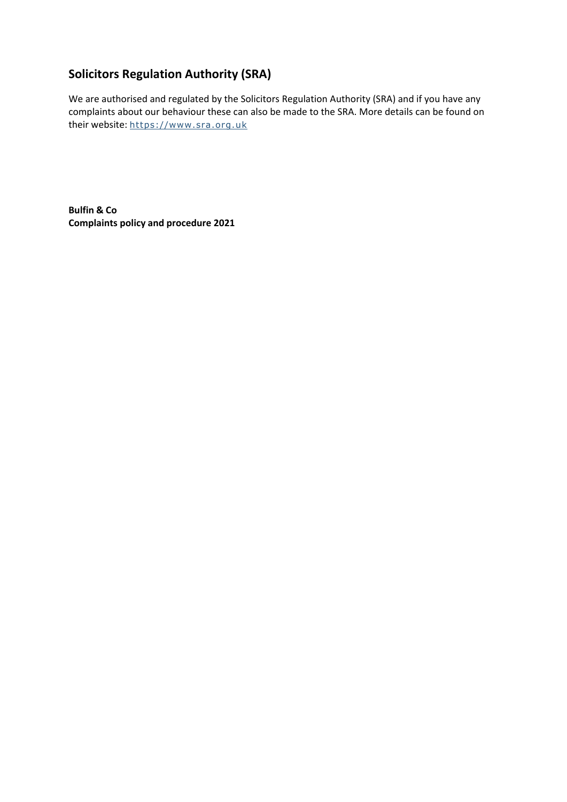# **Solicitors Regulation Authority (SRA)**

We are authorised and regulated by the Solicitors Regulation Authority (SRA) and if you have any complaints about our behaviour these can also be made to the SRA. More details can be found on their website: https://www.sra.org.uk

**Bulfin & Co Complaints policy and procedure 2021**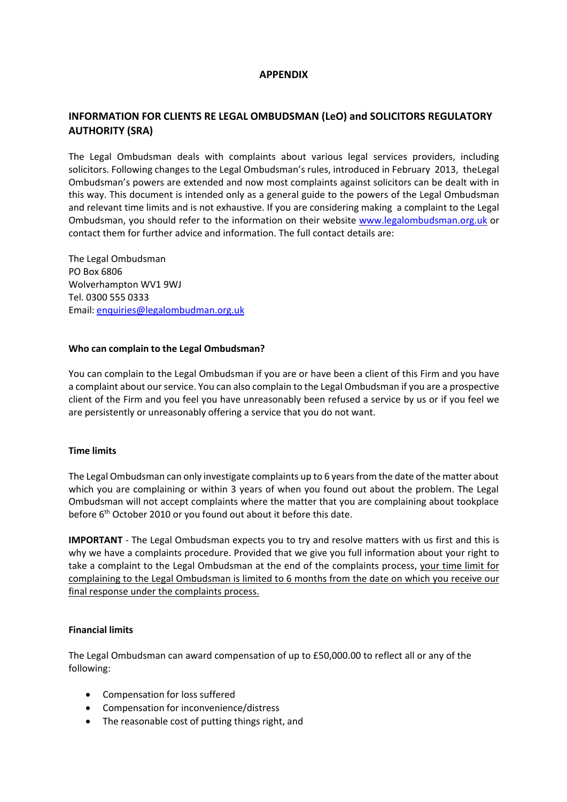#### **APPENDIX**

### **INFORMATION FOR CLIENTS RE LEGAL OMBUDSMAN (LeO) and SOLICITORS REGULATORY AUTHORITY (SRA)**

The Legal Ombudsman deals with complaints about various legal services providers, including solicitors. Following changes to the Legal Ombudsman's rules, introduced in February 2013, theLegal Ombudsman's powers are extended and now most complaints against solicitors can be dealt with in this way. This document is intended only as a general guide to the powers of the Legal Ombudsman and relevant time limits and is not exhaustive. If you are considering making a complaint to the Legal Ombudsman, you should refer to the information on their website www.legalombudsman.org.uk or contact them for further advice and information. The full contact details are:

The Legal Ombudsman PO Box 6806 Wolverhampton WV1 9WJ Tel. 0300 555 0333 Email: enquiries@legalombudman.org.uk

#### **Who can complain to the Legal Ombudsman?**

You can complain to the Legal Ombudsman if you are or have been a client of this Firm and you have a complaint about ourservice. You can also complain to the Legal Ombudsman if you are a prospective client of the Firm and you feel you have unreasonably been refused a service by us or if you feel we are persistently or unreasonably offering a service that you do not want.

#### **Time limits**

The Legal Ombudsman can only investigate complaints up to 6 years from the date of the matter about which you are complaining or within 3 years of when you found out about the problem. The Legal Ombudsman will not accept complaints where the matter that you are complaining about tookplace before  $6<sup>th</sup>$  October 2010 or you found out about it before this date.

**IMPORTANT** - The Legal Ombudsman expects you to try and resolve matters with us first and this is why we have a complaints procedure. Provided that we give you full information about your right to take a complaint to the Legal Ombudsman at the end of the complaints process, your time limit for complaining to the Legal Ombudsman is limited to 6 months from the date on which you receive our final response under the complaints process.

#### **Financial limits**

The Legal Ombudsman can award compensation of up to £50,000.00 to reflect all or any of the following:

- Compensation for loss suffered
- Compensation for inconvenience/distress
- The reasonable cost of putting things right, and